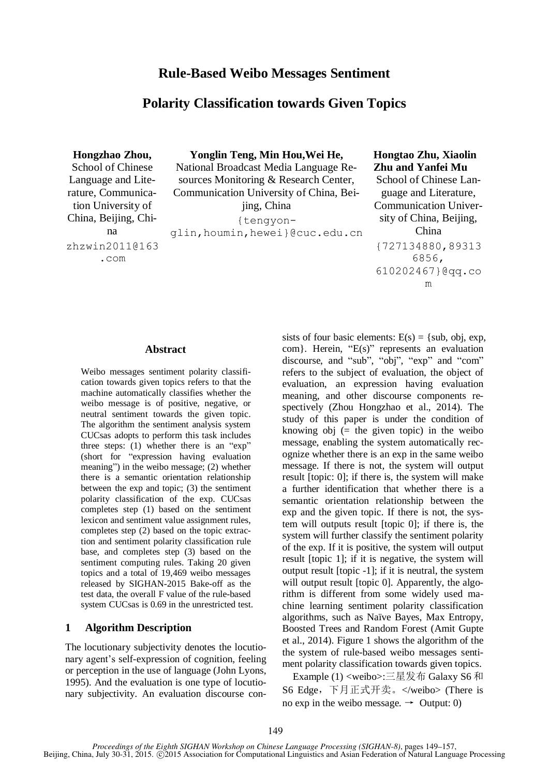## **Polarity Classification towards Given Topics**

**Hongzhao Zhou,** School of Chinese Language and Literature, Communication University of China, Beijing, China zhzwin2011@163 .com

**Yonglin Teng, Min Hou,Wei He,** National Broadcast Media Language Re-

sources Monitoring & Research Center, Communication University of China, Beijing, China

{tengyon-

glin,houmin,hewei}@cuc.edu.cn

### **Hongtao Zhu, Xiaolin Zhu and Yanfei Mu**

School of Chinese Language and Literature, Communication University of China, Beijing, China {727134880,89313 6856, 610202467}@qq.co m

#### **Abstract**

Weibo messages sentiment polarity classification towards given topics refers to that the machine automatically classifies whether the weibo message is of positive, negative, or neutral sentiment towards the given topic. The algorithm the sentiment analysis system CUCsas adopts to perform this task includes three steps: (1) whether there is an "exp" (short for "expression having evaluation meaning") in the weibo message; (2) whether there is a semantic orientation relationship between the exp and topic; (3) the sentiment polarity classification of the exp. CUCsas completes step (1) based on the sentiment lexicon and sentiment value assignment rules, completes step (2) based on the topic extraction and sentiment polarity classification rule base, and completes step (3) based on the sentiment computing rules. Taking 20 given topics and a total of 19,469 weibo messages released by SIGHAN-2015 Bake-off as the test data, the overall F value of the rule-based system CUCsas is 0.69 in the unrestricted test.

#### **1 Algorithm Description**

The locutionary subjectivity denotes the locutionary agent's self-expression of cognition, feeling or perception in the use of language (John Lyons, 1995). And the evaluation is one type of locutionary subjectivity. An evaluation discourse consists of four basic elements:  $E(s) = \{sub, obj, exp,$ com}. Herein, "E(s)" represents an evaluation discourse, and "sub", "obj", "exp" and "com" refers to the subject of evaluation, the object of evaluation, an expression having evaluation meaning, and other discourse components respectively (Zhou Hongzhao et al., 2014). The study of this paper is under the condition of knowing  $obj$  (= the given topic) in the weibo message, enabling the system automatically recognize whether there is an exp in the same weibo message. If there is not, the system will output result [topic: 0]; if there is, the system will make a further identification that whether there is a semantic orientation relationship between the exp and the given topic. If there is not, the system will outputs result [topic 0]; if there is, the system will further classify the sentiment polarity of the exp. If it is positive, the system will output result [topic 1]; if it is negative, the system will output result [topic -1]; if it is neutral, the system will output result [topic 0]. Apparently, the algorithm is different from some widely used machine learning sentiment polarity classification algorithms, such as Na ve Bayes, Max Entropy, Boosted Trees and Random Forest (Amit Gupte et al., 2014). Figure 1 shows the algorithm of the the system of rule-based weibo messages sentiment polarity classification towards given topics.

Example (1) <weibo>:三星发布 Galaxy S6 和 S6 Edge,下月正式开卖。</weibo> (There is no exp in the weibo message.  $\rightarrow$  Output: 0)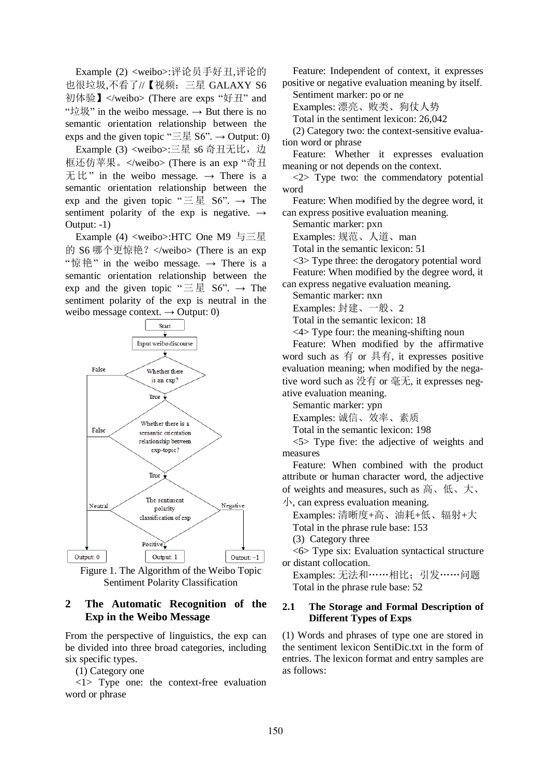Example (2) <weibo>:评论员手好丑,评论的 也很垃圾,不看了//【视频:三星 GALAXY S6 初体验】</weibo> (There are exps "好丑" and " $\dot{\mathfrak{w}}$   $\mathfrak{w}$ " in the weibo message.  $\rightarrow$  But there is no semantic orientation relationship between the exps and the given topic " $\equiv \mathbb{E} S6$ ".  $\rightarrow$  Output: 0)

Example (3) <weibo>:三星 s6 奇丑无比, 边 框还仿苹果。</weibo> (There is an exp "奇丑 无比" in the weibo message. → There is a semantic orientation relationship between the exp and the given topic " $\equiv \equiv \pounds$  S6".  $\rightarrow$  The sentiment polarity of the exp is negative.  $\rightarrow$ Output: -1)

Example (4) <weibo>:HTC One M9 与三星 的 S6 哪个更惊艳? </weibo> (There is an exp "惊艳" in the weibo message. → There is a semantic orientation relationship between the exp and the given topic " $\equiv \pm$  S6".  $\rightarrow$  The sentiment polarity of the exp is neutral in the weibo message context.  $\rightarrow$  Output: 0)



Figure 1. The Algorithm of the Weibo Topic Sentiment Polarity Classification

### **2 The Automatic Recognition of the Exp in the Weibo Message**

From the perspective of linguistics, the exp can be divided into three broad categories, including six specific types.

(1) Category one

<1> Type one: the context-free evaluation word or phrase

Feature: Independent of context, it expresses positive or negative evaluation meaning by itself.

Sentiment marker: po or ne

Examples: 漂亮、败类、狗仗人势

Total in the sentiment lexicon: 26,042

(2) Category two: the context-sensitive evaluation word or phrase

Feature: Whether it expresses evaluation meaning or not depends on the context.

<2> Type two: the commendatory potential word

Feature: When modified by the degree word, it can express positive evaluation meaning.

Semantic marker: pxn

Examples: 规范、人道、man

Total in the semantic lexicon: 51

<3> Type three: the derogatory potential word Feature: When modified by the degree word, it

can express negative evaluation meaning.

Semantic marker: nxn

Examples: 封建、一般、2

Total in the semantic lexicon: 18

<4> Type four: the meaning-shifting noun

Feature: When modified by the affirmative word such as 有 or 具有, it expresses positive evaluation meaning; when modified by the negative word such as 没有 or 毫无, it expresses negative evaluation meaning.

Semantic marker: ypn

Examples: 诚信、效率、素质

Total in the semantic lexicon: 198

<5> Type five: the adjective of weights and measures

Feature: When combined with the product attribute or human character word, the adjective of weights and measures, such as 高、低、大、

小, can express evaluation meaning.

Examples: 清晰度+高、油耗+低、辐射+大 Total in the phrase rule base: 153

(3) Category three

<6> Type six: Evaluation syntactical structure or distant collocation.

Examples: 无法和……相比;引发……问题 Total in the phrase rule base: 52

### **2.1 The Storage and Formal Description of Different Types of Exps**

(1) Words and phrases of type one are stored in the sentiment lexicon SentiDic.txt in the form of entries. The lexicon format and entry samples are as follows: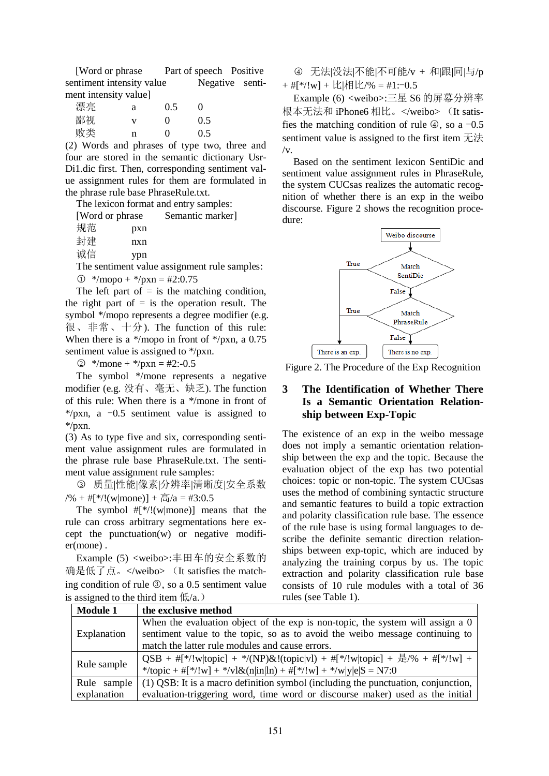[Word or phrase Part of speech Positive sentiment intensity value Negative sentiment intensity value]

| 漂亮 | а | 0.5      | $\mathbf{\Omega}$ |
|----|---|----------|-------------------|
| 鄙视 | v | $\Omega$ | 0.5               |
| 败类 | n | $\Omega$ | 0.5               |

(2) Words and phrases of type two, three and four are stored in the semantic dictionary Usr-Di1.dic first. Then, corresponding sentiment value assignment rules for them are formulated in the phrase rule base PhraseRule.txt.

The lexicon format and entry samples: Semantic marker]

| [Word or phrase] |     |  |
|------------------|-----|--|
| 规范               | pxn |  |
| 封建               | nxn |  |
| 诚信               | ypn |  |

The sentiment value assignment rule samples:

 $\textcircled{1}$  \*/mopo + \*/pxn = #2:0.75

The left part of  $=$  is the matching condition, the right part of  $=$  is the operation result. The symbol \*/mopo represents a degree modifier (e.g. 很、非常、十分). The function of this rule: When there is a  $*/$ mopo in front of  $*/$ pxn, a 0.75 sentiment value is assigned to \*/pxn.

 $\textcircled{2}$  \*/mone + \*/pxn = #2:-0.5

The symbol \*/mone represents a negative modifier (e.g. 没有、毫无、缺乏). The function of this rule: When there is a \*/mone in front of \*/pxn, a  $-0.5$  sentiment value is assigned to \*/pxn.

(3) As to type five and six, corresponding sentiment value assignment rules are formulated in the phrase rule base PhraseRule.txt. The sentiment value assignment rule samples:

○<sup>3</sup> 质量|性能|像素|分辨率|清晰度|安全系数  $/% + #[*/!(w|none)] + \frac{1}{10}$ /a = #3:0.5

The symbol  $#[*/!(w|$ mone)] means that the rule can cross arbitrary segmentations here except the punctuation(w) or negative modifier(mone) .

Example (5) <weibo>:丰田车的安全系数的 确是低了点。</weibo> (It satisfies the matching condition of rule **3**, so a 0.5 sentiment value is assigned to the third item  $(f_{\mathcal{A}})$ 

○<sup>4</sup> 无法|没法|不能|不可能/v + 和|跟|同|与/p  $+$  #[\*/!w] + 比|相比/% = #1:-0.5

Example (6) <weibo>:三星 S6 的屏幕分辨率 根本无法和 iPhone6 相比。</weibo> (It satisfies the matching condition of rule  $\Phi$ , so a -0.5 sentiment value is assigned to the first item 无法  $/v$ .

Based on the sentiment lexicon SentiDic and sentiment value assignment rules in PhraseRule, the system CUCsas realizes the automatic recognition of whether there is an exp in the weibo discourse. Figure 2 shows the recognition procedure:



Figure 2. The Procedure of the Exp Recognition

### **3 The Identification of Whether There Is a Semantic Orientation Relationship between Exp-Topic**

The existence of an exp in the weibo message does not imply a semantic orientation relationship between the exp and the topic. Because the evaluation object of the exp has two potential choices: topic or non-topic. The system CUCsas uses the method of combining syntactic structure and semantic features to build a topic extraction and polarity classification rule base. The essence of the rule base is using formal languages to describe the definite semantic direction relationships between exp-topic, which are induced by analyzing the training corpus by us. The topic extraction and polarity classification rule base consists of 10 rule modules with a total of 36 rules (see Table 1).

| <b>Module 1</b> | the exclusive method                                                                     |  |
|-----------------|------------------------------------------------------------------------------------------|--|
|                 | When the evaluation object of the $exp$ is non-topic, the system will assign a $0$       |  |
| Explanation     | sentiment value to the topic, so as to avoid the weibo message continuing to             |  |
|                 | match the latter rule modules and cause errors.                                          |  |
|                 | QSB + #[*/!w topic] + */(NP)&!(topic vl) + #[*/!w topic] + $\frac{1}{12}$ /% + #[*/!w] + |  |
| Rule sample     | */topic + #[*/!w] + */vl&(n in ln) + #[*/!w] + */w y e \$ = N7:0                         |  |
| Rule sample     | (1) QSB: It is a macro definition symbol (including the punctuation, conjunction,        |  |
| explanation     | evaluation-triggering word, time word or discourse maker) used as the initial            |  |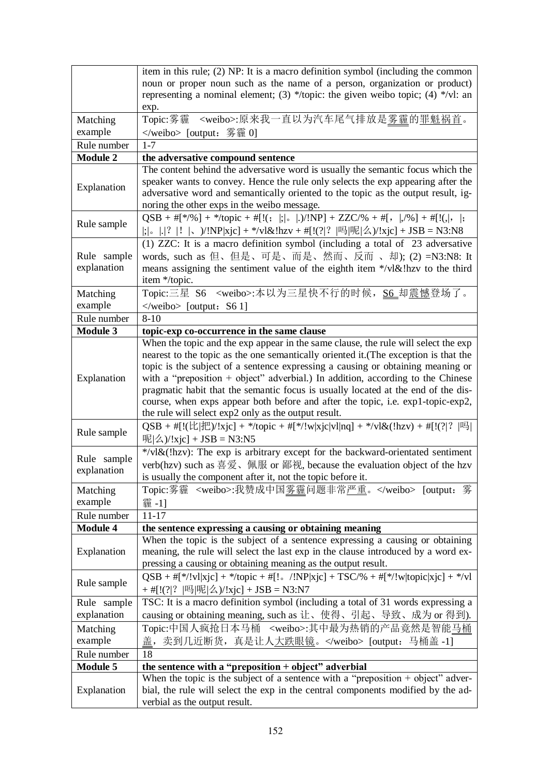|                 | item in this rule; (2) NP: It is a macro definition symbol (including the common                      |  |  |  |
|-----------------|-------------------------------------------------------------------------------------------------------|--|--|--|
|                 | noun or proper noun such as the name of a person, organization or product)                            |  |  |  |
|                 | representing a nominal element; (3) */topic: the given weibo topic; (4) */vl: an                      |  |  |  |
|                 | exp.                                                                                                  |  |  |  |
| Matching        | <weibo>:原来我一直以为汽车尾气排放是多霾的罪魁祸首。<br/>Topic:雾霾</weibo>                                                   |  |  |  |
| example         | [output: 雾霾 0]                                                                                        |  |  |  |
| Rule number     | $1 - 7$                                                                                               |  |  |  |
| <b>Module 2</b> | the adversative compound sentence                                                                     |  |  |  |
|                 | The content behind the adversative word is usually the semantic focus which the                       |  |  |  |
| Explanation     | speaker wants to convey. Hence the rule only selects the exp appearing after the                      |  |  |  |
|                 | adversative word and semantically oriented to the topic as the output result, ig-                     |  |  |  |
|                 | noring the other exps in the weibo message.                                                           |  |  |  |
| Rule sample     |                                                                                                       |  |  |  |
|                 |                                                                                                       |  |  |  |
|                 | (1) ZZC: It is a macro definition symbol (including a total of 23 adversative                         |  |  |  |
| Rule sample     | words, such as 但、但是、可是、而是、然而、反而 、却); (2) =N3:N8: It                                                   |  |  |  |
| explanation     | means assigning the sentiment value of the eighth item */vl&!hzv to the third                         |  |  |  |
|                 | item */topic.                                                                                         |  |  |  |
| Matching        | Topic:三星 S6 <weibo>:本以为三星快不行的时候, S6_却<u>震憾</u>登场了。</weibo>                                            |  |  |  |
| example         | $\le$ /weibo> [output: S6 1]                                                                          |  |  |  |
| Rule number     | $8 - 10$                                                                                              |  |  |  |
| <b>Module 3</b> | topic-exp co-occurrence in the same clause                                                            |  |  |  |
|                 | When the topic and the exp appear in the same clause, the rule will select the exp                    |  |  |  |
|                 | nearest to the topic as the one semantically oriented it. (The exception is that the                  |  |  |  |
|                 | topic is the subject of a sentence expressing a causing or obtaining meaning or                       |  |  |  |
| Explanation     | with a "preposition $+$ object" adverbial.) In addition, according to the Chinese                     |  |  |  |
|                 | pragmatic habit that the semantic focus is usually located at the end of the dis-                     |  |  |  |
|                 | course, when exps appear both before and after the topic, i.e. exp1-topic-exp2,                       |  |  |  |
|                 | the rule will select exp2 only as the output result.                                                  |  |  |  |
| Rule sample     | $QSB + #[!(t  H)/!x]c] + *$ /topic + #[*/!w xjc vl nq] + */vl&(!hzv) + #[!(? ?  吗                     |  |  |  |
|                 | 呢 $ \&($ $\rangle$ /!xjc] + JSB = N3:N5                                                               |  |  |  |
| Rule sample     | $\sqrt[k]{v} \& (\frac{ln z}{v})$ : The exp is arbitrary except for the backward-orientated sentiment |  |  |  |
| explanation     | verb(hzv) such as 喜爱、佩服 or 鄙视, because the evaluation object of the hzv                               |  |  |  |
|                 | is usually the component after it, not the topic before it.                                           |  |  |  |
| Matching        | Topic:雾霾 <weibo>:我赞成中国雾霾问题非常严重。</weibo> [output: 雾                                                    |  |  |  |
| example         | 霾-1]                                                                                                  |  |  |  |
| Rule number     | $11 - 17$                                                                                             |  |  |  |
| <b>Module 4</b> | the sentence expressing a causing or obtaining meaning                                                |  |  |  |
|                 | When the topic is the subject of a sentence expressing a causing or obtaining                         |  |  |  |
| Explanation     | meaning, the rule will select the last exp in the clause introduced by a word ex-                     |  |  |  |
|                 | pressing a causing or obtaining meaning as the output result.                                         |  |  |  |
| Rule sample     | $QSB + #[*!/!v][x]c] + */topic + #['.!/!v][NP[x]c] + TSC% + #[*!/!w topic[x]c] + */v1$                |  |  |  |
|                 | + #[!(? ?  吗 呢 么)/!xjc] + JSB = N3:N7                                                                 |  |  |  |
| Rule sample     | TSC: It is a macro definition symbol (including a total of 31 words expressing a                      |  |  |  |
| explanation     | causing or obtaining meaning, such as 让、使得、引起、导致、成为 or 得到).                                           |  |  |  |
| Matching        | Topic:中国人疯抢日本马桶 <weibo>:其中最为热销的产品竟然是智能马桶</weibo>                                                      |  |  |  |
| example         | 盖, 卖到几近断货, 真是让人大跌眼镜。 [output: 马桶盖-1]                                                                  |  |  |  |
| Rule number     | 18                                                                                                    |  |  |  |
| <b>Module 5</b> | the sentence with a "preposition + object" adverbial                                                  |  |  |  |
|                 | When the topic is the subject of a sentence with a "preposition $+$ object" adver-                    |  |  |  |
| Explanation     | bial, the rule will select the exp in the central components modified by the ad-                      |  |  |  |
|                 | verbial as the output result.                                                                         |  |  |  |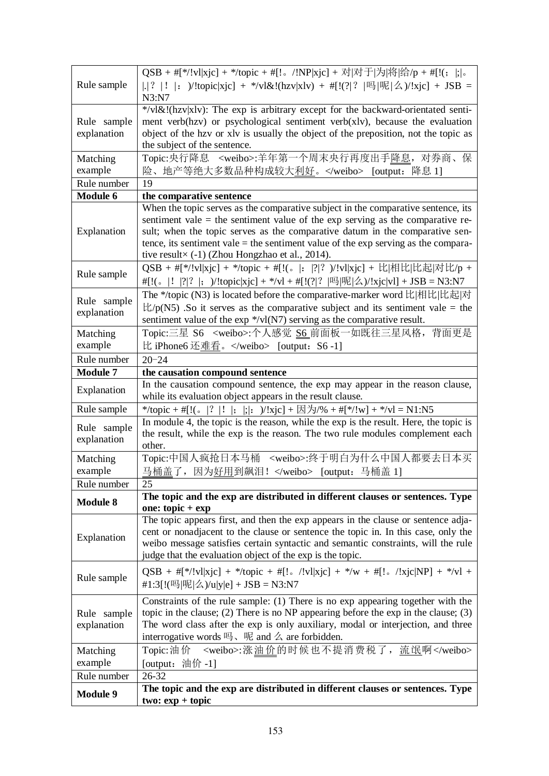| Rule sample                | $QSB + #[*/!v]$  xjc] + */topic + #[!。/!NP xjc] + 对 对于 为 将 给/p + #[!(;  ; 。<br> . ?  !  : )/!topic xjc] + */vl&!(hzv xlv) + #[!(? ?  吗 呢 么)/!xjc] + JSB =<br>N3: N7                                                                                                                                                                                                                                       |
|----------------------------|-----------------------------------------------------------------------------------------------------------------------------------------------------------------------------------------------------------------------------------------------------------------------------------------------------------------------------------------------------------------------------------------------------------|
| Rule sample<br>explanation | */vl&!(hzv xlv): The exp is arbitrary except for the backward-orientated senti-<br>ment verb(hzv) or psychological sentiment verb(xlv), because the evaluation<br>object of the hzv or xlv is usually the object of the preposition, not the topic as<br>the subject of the sentence.                                                                                                                     |
| Matching<br>example        | Topic:央行降息 <weibo>:羊年第一个周末央行再度出手降息, 对券商、保<br/>险、地产等绝大多数品种构成较大<u>利好</u>。</weibo> [output: 降息 1]                                                                                                                                                                                                                                                                                                            |
| Rule number                | 19                                                                                                                                                                                                                                                                                                                                                                                                        |
| <b>Module 6</b>            | the comparative sentence                                                                                                                                                                                                                                                                                                                                                                                  |
| Explanation                | When the topic serves as the comparative subject in the comparative sentence, its<br>sentiment value = the sentiment value of the $exp$ serving as the comparative re-<br>sult; when the topic serves as the comparative datum in the comparative sen-<br>tence, its sentiment vale $=$ the sentiment value of the exp serving as the compara-<br>tive result $\times$ (-1) (Zhou Hongzhao et al., 2014). |
| Rule sample                | QSB + #[*/!vl xjc] + */topic + #[!(。 :  ? ? )/!vl xjc] + 比 相比 比起 对比/p +<br>#[!(。 !  ? ?  ; )/!topic xjc] + */vl + #[!(? ?  吗 呢 么)/!xjc vl] + JSB = N3:N7                                                                                                                                                                                                                                                  |
| Rule sample<br>explanation | The */topic (N3) is located before the comparative-marker word 比 相比 比起 对<br>$\frac{1}{2}$ /p(N5) .So it serves as the comparative subject and its sentiment vale = the<br>sentiment value of the $\exp$ */vl(N7) serving as the comparative result.                                                                                                                                                       |
| Matching<br>example        | Topic:三星 S6 <weibo>:个人感觉 S6 前面板一如既往三星风格, 背面更是<br/>比 iPhone6 还难看。</weibo> [output: S6-1]                                                                                                                                                                                                                                                                                                                   |
| Rule number                | $20 - 24$                                                                                                                                                                                                                                                                                                                                                                                                 |
| <b>Module 7</b>            | the causation compound sentence                                                                                                                                                                                                                                                                                                                                                                           |
| Explanation                | In the causation compound sentence, the exp may appear in the reason clause,<br>while its evaluation object appears in the result clause.                                                                                                                                                                                                                                                                 |
| Rule sample                | */topic + #[!(。 ? ! ; ; : )/!xjc] + 因为/% + #[*/!w] + */vl = N1:N5                                                                                                                                                                                                                                                                                                                                         |
| Rule sample<br>explanation | In module 4, the topic is the reason, while the exp is the result. Here, the topic is<br>the result, while the exp is the reason. The two rule modules complement each<br>other.                                                                                                                                                                                                                          |
| Matching<br>example        | Topic:中国人疯抢日本马桶 <weibo>:终于明白为什么中国人都要去日本买<br/>马桶盖了,因为好用到飙泪!</weibo> [output: 马桶盖 1]                                                                                                                                                                                                                                                                                                                        |
| Rule number                | 25                                                                                                                                                                                                                                                                                                                                                                                                        |
| <b>Module 8</b>            | The topic and the exp are distributed in different clauses or sentences. Type<br>one: $topic + exp$                                                                                                                                                                                                                                                                                                       |
| Explanation                | The topic appears first, and then the exp appears in the clause or sentence adja-<br>cent or nonadjacent to the clause or sentence the topic in. In this case, only the<br>weibo message satisfies certain syntactic and semantic constraints, will the rule<br>judge that the evaluation object of the exp is the topic.                                                                                 |
| Rule sample                | $QSB + #[*' v1 xjc] + */topic + #['. \ \ /!v1 xjc] + */w + #['. \ \ /!xjc NP] + */v1 +$<br>#1:3[!(吗 呢 么)/u y e] + JSB = N3:N7                                                                                                                                                                                                                                                                             |
| Rule sample<br>explanation | Constraints of the rule sample: (1) There is no exp appearing together with the<br>topic in the clause; (2) There is no NP appearing before the $exp$ in the clause; (3)<br>The word class after the exp is only auxiliary, modal or interjection, and three<br>interrogative words $\mathbb{E}$ , $\mathbb{E}$ and $\angle$ are forbidden.                                                               |
| Matching<br>example        | Topic:油价 <weibo>:涨油价的时候也不提消费税了, 流氓啊</weibo><br>[output: 油价 -1]                                                                                                                                                                                                                                                                                                                                            |
| Rule number                | 26-32                                                                                                                                                                                                                                                                                                                                                                                                     |
| <b>Module 9</b>            | The topic and the exp are distributed in different clauses or sentences. Type<br>$two: exp + topic$                                                                                                                                                                                                                                                                                                       |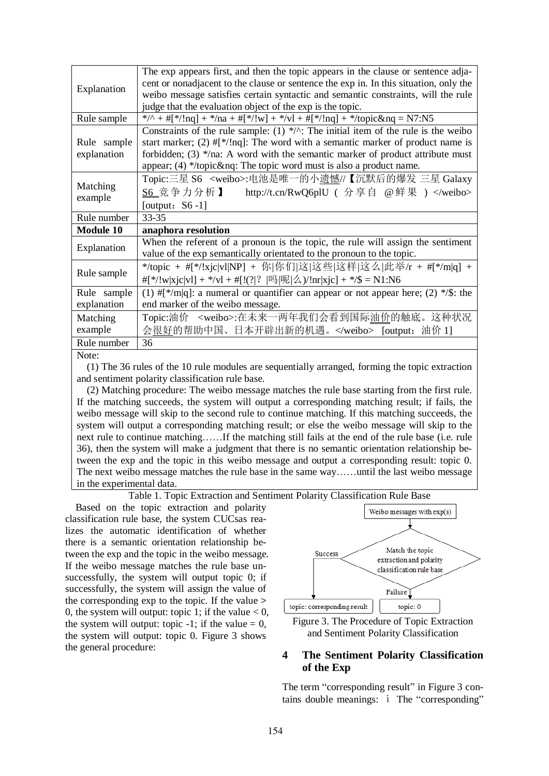| Explanation         | The exp appears first, and then the topic appears in the clause or sentence adja-                   |
|---------------------|-----------------------------------------------------------------------------------------------------|
|                     | cent or nonadjacent to the clause or sentence the exp in. In this situation, only the               |
|                     | weibo message satisfies certain syntactic and semantic constraints, will the rule                   |
|                     | judge that the evaluation object of the exp is the topic.                                           |
| Rule sample         | */^ + #[*/!nq] + */na + #[*/!w] + */vl + #[*/!nq] + */topic&nq = N7:N5                              |
|                     | Constraints of the rule sample: (1) */ $\wedge$ : The initial item of the rule is the weibo         |
| Rule sample         | start marker; (2) $\#$ [*/!nq]: The word with a semantic marker of product name is                  |
| explanation         | forbidden; (3) */na: A word with the semantic marker of product attribute must                      |
|                     | appear; $(4)$ */topic&nq: The topic word must is also a product name.                               |
|                     | Topic:三星 S6 <weibo>:电池是唯一的小遗憾//【沉默后的爆发 三星 Galaxy</weibo>                                            |
| Matching<br>example | S6 竞争力分析】<br>http://t.cn/RwQ6plU ( 分享自 @鲜果 )                                                        |
|                     | [output: $S6-1$ ]                                                                                   |
| Rule number         | 33-35                                                                                               |
| <b>Module 10</b>    | anaphora resolution                                                                                 |
|                     | When the referent of a pronoun is the topic, the rule will assign the sentiment                     |
| Explanation         | value of the exp semantically orientated to the pronoun to the topic.                               |
|                     | */topic + #[*/!xjc vl NP] + 你 你们 这 这些 这样 这么 此举/r + #[*/m q] +                                       |
| Rule sample         | #[*/!w xjc vl] + */vl + #[!(? ?  吗 呢 么)/!nr xjc] + */\$ = N1:N6                                     |
| Rule sample         | (1) $\#[^{\ast}/m]q$ : a numeral or quantifier can appear or not appear here; (2) $^{\ast}/\$ ; the |
| explanation         | end marker of the weibo message.                                                                    |
| Matching            | Topic:油价 <weibo>:在未来一两年我们会看到国际油价的触底。这种状况</weibo>                                                    |
| example             | 会很好的帮助中国、日本开辟出新的机遇。 [output: 油价 1]                                                                  |
| Rule number         | 36                                                                                                  |
| Note:               |                                                                                                     |

Note:

(1) The 36 rules of the 10 rule modules are sequentially arranged, forming the topic extraction and sentiment polarity classification rule base.

(2) Matching procedure: The weibo message matches the rule base starting from the first rule. If the matching succeeds, the system will output a corresponding matching result; if fails, the weibo message will skip to the second rule to continue matching. If this matching succeeds, the system will output a corresponding matching result; or else the weibo message will skip to the next rule to continue matching……If the matching still fails at the end of the rule base (i.e. rule 36), then the system will make a judgment that there is no semantic orientation relationship between the exp and the topic in this weibo message and output a corresponding result: topic 0. The next weibo message matches the rule base in the same way……until the last weibo message in the experimental data.

Table 1. Topic Extraction and Sentiment Polarity Classification Rule Base

Based on the topic extraction and polarity classification rule base, the system CUCsas realizes the automatic identification of whether there is a semantic orientation relationship between the exp and the topic in the weibo message. If the weibo message matches the rule base unsuccessfully, the system will output topic 0; if successfully, the system will assign the value of the corresponding exp to the topic. If the value > 0, the system will output: topic 1; if the value  $< 0$ , the system will output: topic  $-1$ ; if the value  $= 0$ , the system will output: topic 0. Figure 3 shows the general procedure:



Figure 3. The Procedure of Topic Extraction and Sentiment Polarity Classification

## **4 The Sentiment Polarity Classification of the Exp**

The term "corresponding result" in Figure 3 contains double meanings: ⅰ The "corresponding"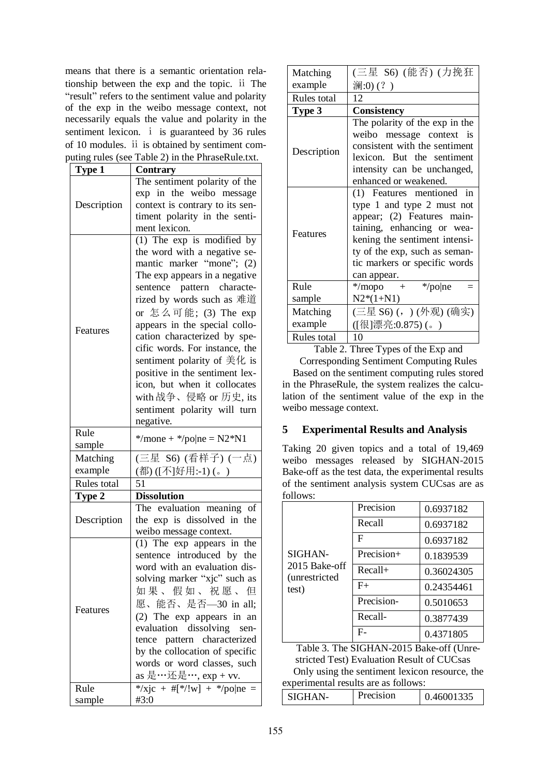means that there is a semantic orientation relationship between the exp and the topic. ⅱ The "result" refers to the sentiment value and polarity of the exp in the weibo message context, not necessarily equals the value and polarity in the sentiment lexicon. *i* is guaranteed by 36 rules of 10 modules. ⅱ is obtained by sentiment computing rules (see Table 2) in the PhraseRule.txt.

| <b>Type 1</b>  | <b>Contrary</b>                     |  |  |
|----------------|-------------------------------------|--|--|
|                | The sentiment polarity of the       |  |  |
|                | exp in the weibo message            |  |  |
|                | context is contrary to its sen-     |  |  |
| Description    | timent polarity in the senti-       |  |  |
|                | ment lexicon.                       |  |  |
|                | $(1)$ The exp is modified by        |  |  |
|                | the word with a negative se-        |  |  |
|                | mantic marker "mone"; (2)           |  |  |
|                | The exp appears in a negative       |  |  |
|                | sentence pattern characte-          |  |  |
|                | rized by words such as 难道           |  |  |
|                | or 怎么可能; (3) The exp                |  |  |
|                | appears in the special collo-       |  |  |
| Features       | cation characterized by spe-        |  |  |
|                | cific words. For instance, the      |  |  |
|                | sentiment polarity of $\#$ / t is   |  |  |
|                | positive in the sentiment lex-      |  |  |
|                | icon, but when it collocates        |  |  |
|                | with 战争、侵略 or 历史, its               |  |  |
|                | sentiment polarity will turn        |  |  |
|                | negative.                           |  |  |
| Rule           |                                     |  |  |
| sample         | */mone + */po ne = $N2*N1$          |  |  |
|                |                                     |  |  |
| Matching       | (三星 S6) (看样子) (一点)                  |  |  |
| example        | (都)([不]好用:-1)(。)                    |  |  |
| Rules total    | 51                                  |  |  |
| Type 2         | <b>Dissolution</b>                  |  |  |
|                | The evaluation meaning<br>οf        |  |  |
| Description    | the exp is dissolved in the         |  |  |
|                | weibo message context.              |  |  |
|                | $(1)$ The exp appears in the        |  |  |
|                | sentence introduced by the          |  |  |
|                | word with an evaluation dis-        |  |  |
|                | solving marker "xjc" such as        |  |  |
|                | 如果、假如、祝愿、<br>但                      |  |  |
| Features       | 愿、能否、是否-30 in all;                  |  |  |
|                | (2) The exp appears in an           |  |  |
|                | evaluation dissolving sen-          |  |  |
|                | tence pattern characterized         |  |  |
|                | by the collocation of specific      |  |  |
|                | words or word classes, such         |  |  |
|                | as 是…还是…, exp + vv.                 |  |  |
| Rule<br>sample | */xjc + #[*/!w] + */po ne =<br>#3:0 |  |  |

| Matching    | (三星 S6) (能否) (力挽狂              |  |  |
|-------------|--------------------------------|--|--|
| example     | 澜:0)(?)                        |  |  |
| Rules total | 12                             |  |  |
| Type 3      | Consistency                    |  |  |
|             | The polarity of the exp in the |  |  |
|             | weibo message context is       |  |  |
| Description | consistent with the sentiment  |  |  |
|             | lexicon. But the sentiment     |  |  |
|             | intensity can be unchanged,    |  |  |
|             | enhanced or weakened.          |  |  |
|             | (1) Features mentioned in      |  |  |
|             | type 1 and type 2 must not     |  |  |
|             | appear; (2) Features main-     |  |  |
| Features    | taining, enhancing or wea-     |  |  |
|             | kening the sentiment intensi-  |  |  |
|             | ty of the exp, such as seman-  |  |  |
|             | tic markers or specific words  |  |  |
|             | can appear.                    |  |  |
| Rule        | */mopo + */po ne               |  |  |
| sample      | $N2*(1+N1)$                    |  |  |
| Matching    | (三星 S6) (,) (外观) (确实)          |  |  |
| example     | ([很]漂亮:0.875)(。)               |  |  |
| Rules total | 10                             |  |  |

Table 2. Three Types of the Exp and

Corresponding Sentiment Computing Rules Based on the sentiment computing rules stored in the PhraseRule, the system realizes the calculation of the sentiment value of the exp in the weibo message context.

# **5 Experimental Results and Analysis**

Taking 20 given topics and a total of 19,469 weibo messages released by SIGHAN-2015 Bake-off as the test data, the experimental results of the sentiment analysis system CUCsas are as follows:

| .                                                  |             |            |  |
|----------------------------------------------------|-------------|------------|--|
| SIGHAN-<br>2015 Bake-off<br>(unrestricted<br>test) | Precision   | 0.6937182  |  |
|                                                    | Recall      | 0.6937182  |  |
|                                                    | $\mathbf F$ | 0.6937182  |  |
|                                                    | Precision+  | 0.1839539  |  |
|                                                    | $Recall+$   | 0.36024305 |  |
|                                                    | $F+$        | 0.24354461 |  |
|                                                    | Precision-  | 0.5010653  |  |
|                                                    | Recall-     | 0.3877439  |  |
|                                                    | F-          | 0.4371805  |  |

Table 3. The SIGHAN-2015 Bake-off (Unrestricted Test) Evaluation Result of CUCsas Only using the sentiment lexicon resource, the experimental results are as follows:

| $\cdot$<br>'recision<br>'CU A NI | .ഫവി. |
|----------------------------------|-------|
|----------------------------------|-------|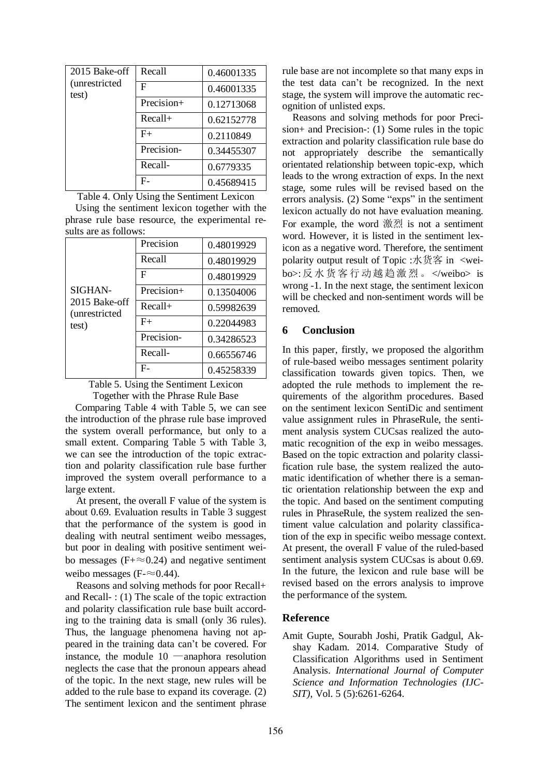| 2015 Bake-off<br><i>(unrestricted</i><br>test) | Recall     | 0.46001335 |
|------------------------------------------------|------------|------------|
|                                                | F          | 0.46001335 |
|                                                | Precision+ | 0.12713068 |
|                                                | $Recall+$  | 0.62152778 |
|                                                | $F+$       | 0.2110849  |
|                                                | Precision- | 0.34455307 |
|                                                | Recall-    | 0.6779335  |
|                                                | F-         | 0.45689415 |

Table 4. Only Using the Sentiment Lexicon

Using the sentiment lexicon together with the phrase rule base resource, the experimental results are as follows:

|                                                    | Precision  | 0.48019929 |
|----------------------------------------------------|------------|------------|
|                                                    | Recall     | 0.48019929 |
|                                                    | F          | 0.48019929 |
| SIGHAN-<br>2015 Bake-off<br>(unrestricted<br>test) | Precision+ | 0.13504006 |
|                                                    | $Recall+$  | 0.59982639 |
|                                                    | $F+$       | 0.22044983 |
|                                                    | Precision- | 0.34286523 |
|                                                    | Recall-    | 0.66556746 |
|                                                    | F.         | 0.45258339 |

Table 5. Using the Sentiment Lexicon Together with the Phrase Rule Base

 Comparing Table 4 with Table 5, we can see the introduction of the phrase rule base improved the system overall performance, but only to a small extent. Comparing Table 5 with Table 3, we can see the introduction of the topic extraction and polarity classification rule base further improved the system overall performance to a large extent.

At present, the overall F value of the system is about 0.69. Evaluation results in Table 3 suggest that the performance of the system is good in dealing with neutral sentiment weibo messages, but poor in dealing with positive sentiment weibo messages ( $F+ \approx 0.24$ ) and negative sentiment weibo messages (F- $\approx$ 0.44).

Reasons and solving methods for poor Recall+ and Recall- : (1) The scale of the topic extraction and polarity classification rule base built according to the training data is small (only 36 rules). Thus, the language phenomena having not appeared in the training data can't be covered. For instance, the module 10 —anaphora resolution neglects the case that the pronoun appears ahead of the topic. In the next stage, new rules will be added to the rule base to expand its coverage. (2) The sentiment lexicon and the sentiment phrase rule base are not incomplete so that many exps in the test data can't be recognized. In the next stage, the system will improve the automatic recognition of unlisted exps.

Reasons and solving methods for poor Precision+ and Precision-: (1) Some rules in the topic extraction and polarity classification rule base do not appropriately describe the semantically orientated relationship between topic-exp, which leads to the wrong extraction of exps. In the next stage, some rules will be revised based on the errors analysis. (2) Some "exps" in the sentiment lexicon actually do not have evaluation meaning. For example, the word 激烈 is not a sentiment word. However, it is listed in the sentiment lexicon as a negative word. Therefore, the sentiment polarity output result of Topic :水货客 in <weibo>:反水货客 行动越趋激烈 。 </weibo> is wrong -1. In the next stage, the sentiment lexicon will be checked and non-sentiment words will be removed.

#### **6 Conclusion**

In this paper, firstly, we proposed the algorithm of rule-based weibo messages sentiment polarity classification towards given topics. Then, we adopted the rule methods to implement the requirements of the algorithm procedures. Based on the sentiment lexicon SentiDic and sentiment value assignment rules in PhraseRule, the sentiment analysis system CUCsas realized the automatic recognition of the exp in weibo messages. Based on the topic extraction and polarity classification rule base, the system realized the automatic identification of whether there is a semantic orientation relationship between the exp and the topic. And based on the sentiment computing rules in PhraseRule, the system realized the sentiment value calculation and polarity classification of the exp in specific weibo message context. At present, the overall F value of the ruled-based sentiment analysis system CUCsas is about 0.69. In the future, the lexicon and rule base will be revised based on the errors analysis to improve the performance of the system.

#### **Reference**

Amit Gupte, Sourabh Joshi, Pratik Gadgul, Akshay Kadam. 2014. Comparative Study of Classification Algorithms used in Sentiment Analysis. *International Journal of Computer Science and Information Technologies (IJC-SIT)*, Vol. 5 (5):6261-6264.